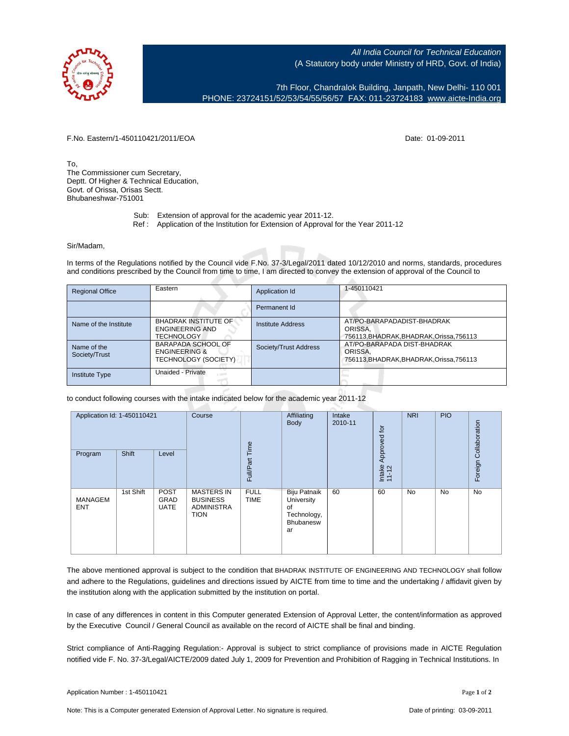

All India Council for Technical Education (A Statutory body under Ministry of HRD, Govt. of India)

7th Floor, Chandralok Building, Janpath, New Delhi- 110 001 PHONE: 23724151/52/53/54/55/56/57 FAX: 011-23724183 [www.aicte-India.org](http://www.aicte-India.org)

F.No. Eastern/1-450110421/2011/EOA Date: 01-09-2011

To, The Commissioner cum Secretary, Deptt. Of Higher & Technical Education, Govt. of Orissa, Orisas Sectt. Bhubaneshwar-751001

- Sub: Extension of approval for the academic year 2011-12.
- Ref : Application of the Institution for Extension of Approval for the Year 2011-12

## Sir/Madam,

In terms of the Regulations notified by the Council vide F.No. 37-3/Legal/2011 dated 10/12/2010 and norms, standards, procedures and conditions prescribed by the Council from time to time, I am directed to convey the extension of approval of the Council to

| <b>Regional Office</b>       | Eastern                                                                       | Application Id           | 1-450110421                                                                        |
|------------------------------|-------------------------------------------------------------------------------|--------------------------|------------------------------------------------------------------------------------|
|                              |                                                                               | Permanent Id             |                                                                                    |
| Name of the Institute        | <b>BHADRAK INSTITUTE OF</b><br><b>ENGINEERING AND</b><br><b>TECHNOLOGY</b>    | <b>Institute Address</b> | AT/PO-BARAPADADIST-BHADRAK<br>ORISSA.<br>756113, BHADRAK, BHADRAK, Orissa, 756113  |
| Name of the<br>Society/Trust | <b>BARAPADA SCHOOL OF</b><br><b>ENGINEERING &amp;</b><br>TECHNOLOGY (SOCIETY) | Society/Trust Address    | AT/PO-BARAPADA DIST-BHADRAK<br>ORISSA,<br>756113, BHADRAK, BHADRAK, Orissa, 756113 |
| <b>Institute Type</b>        | Unaided - Private<br>$\sim$                                                   |                          |                                                                                    |

to conduct following courses with the intake indicated below for the academic year 2011-12

| Application Id: 1-450110421<br>Program | Shift     | Level                                     | Course                                                                   | Time<br>Full/Part          | Affiliating<br>Body                                                       | Intake<br>2010-11 | Approved for<br>Intake<br>11-12 | <b>NRI</b> | <b>PIO</b> | Collaboration<br>Foreign |
|----------------------------------------|-----------|-------------------------------------------|--------------------------------------------------------------------------|----------------------------|---------------------------------------------------------------------------|-------------------|---------------------------------|------------|------------|--------------------------|
| MANAGEM<br><b>ENT</b>                  | 1st Shift | <b>POST</b><br><b>GRAD</b><br><b>UATE</b> | <b>MASTERS IN</b><br><b>BUSINESS</b><br><b>ADMINISTRA</b><br><b>TION</b> | <b>FULL</b><br><b>TIME</b> | <b>Biju Patnaik</b><br>University<br>of<br>Technology,<br>Bhubanesw<br>ar | 60                | 60                              | <b>No</b>  | No         | No                       |

The above mentioned approval is subject to the condition that BHADRAK INSTITUTE OF ENGINEERING AND TECHNOLOGY shall follow and adhere to the Regulations, guidelines and directions issued by AICTE from time to time and the undertaking / affidavit given by the institution along with the application submitted by the institution on portal.

In case of any differences in content in this Computer generated Extension of Approval Letter, the content/information as approved by the Executive Council / General Council as available on the record of AICTE shall be final and binding.

Strict compliance of Anti-Ragging Regulation:- Approval is subject to strict compliance of provisions made in AICTE Regulation notified vide F. No. 37-3/Legal/AICTE/2009 dated July 1, 2009 for Prevention and Prohibition of Ragging in Technical Institutions. In